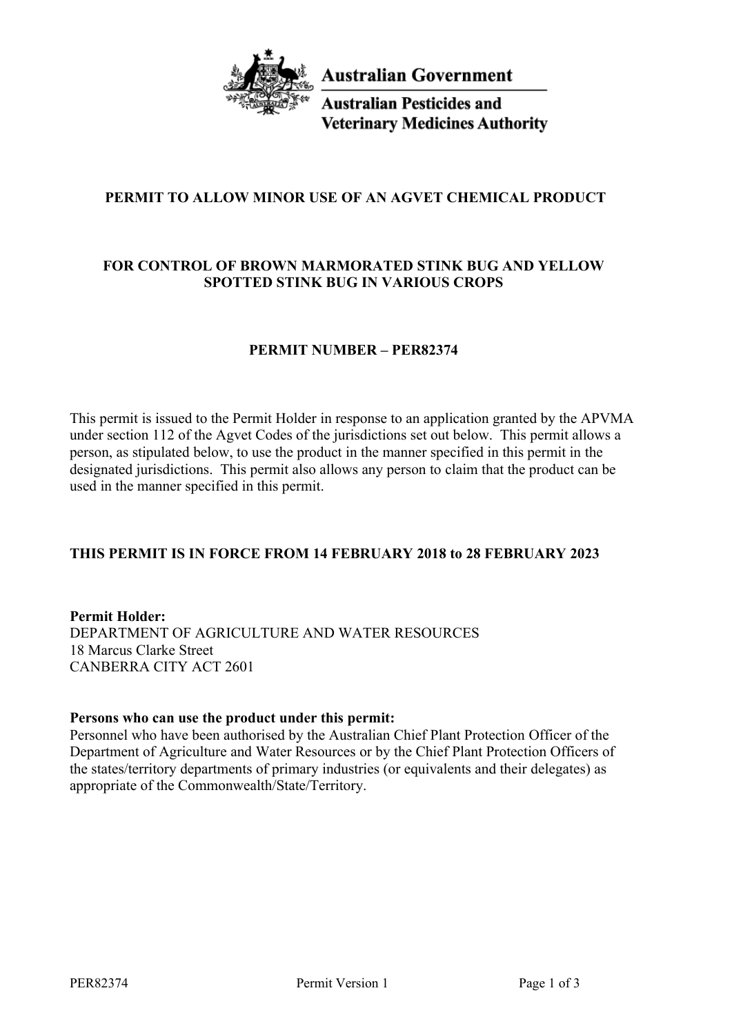

**Australian Government** 

**Australian Pesticides and Veterinary Medicines Authority** 

# **PERMIT TO ALLOW MINOR USE OF AN AGVET CHEMICAL PRODUCT**

# **FOR CONTROL OF BROWN MARMORATED STINK BUG AND YELLOW SPOTTED STINK BUG IN VARIOUS CROPS**

## **PERMIT NUMBER – PER82374**

This permit is issued to the Permit Holder in response to an application granted by the APVMA under section 112 of the Agvet Codes of the jurisdictions set out below. This permit allows a person, as stipulated below, to use the product in the manner specified in this permit in the designated jurisdictions. This permit also allows any person to claim that the product can be used in the manner specified in this permit.

## **THIS PERMIT IS IN FORCE FROM 14 FEBRUARY 2018 to 28 FEBRUARY 2023**

**Permit Holder:** DEPARTMENT OF AGRICULTURE AND WATER RESOURCES 18 Marcus Clarke Street CANBERRA CITY ACT 2601

### **Persons who can use the product under this permit:**

Personnel who have been authorised by the Australian Chief Plant Protection Officer of the Department of Agriculture and Water Resources or by the Chief Plant Protection Officers of the states/territory departments of primary industries (or equivalents and their delegates) as appropriate of the Commonwealth/State/Territory.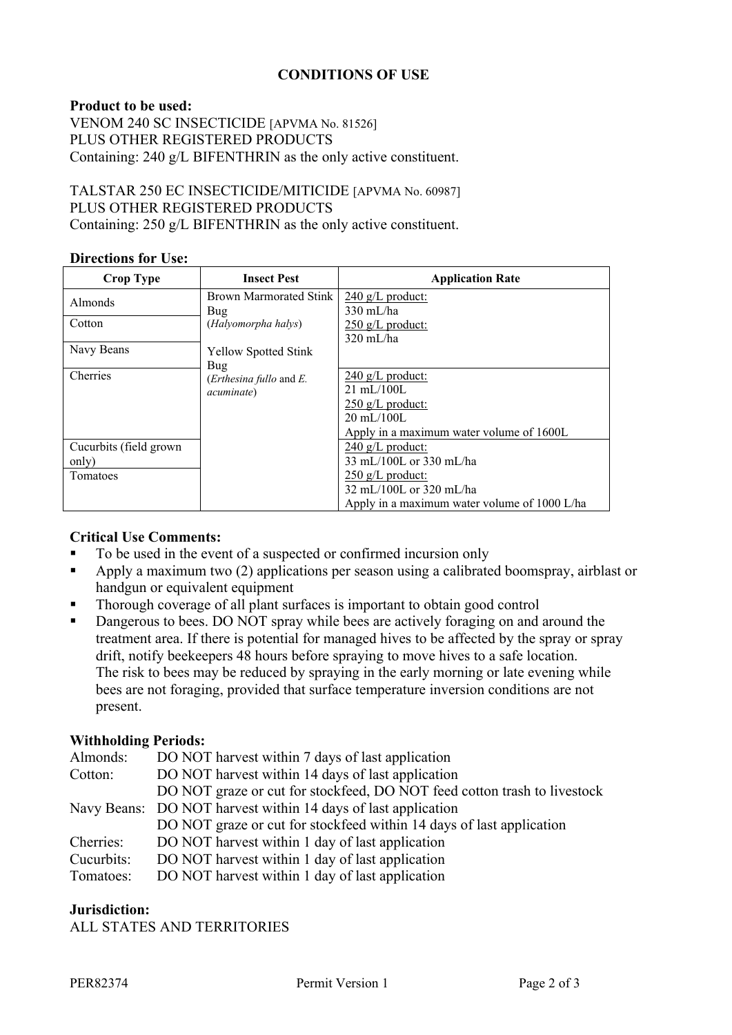## **CONDITIONS OF USE**

### **Product to be used:**

VENOM 240 SC INSECTICIDE [APVMA No. 81526] PLUS OTHER REGISTERED PRODUCTS Containing: 240 g/L BIFENTHRIN as the only active constituent.

### TALSTAR 250 EC INSECTICIDE/MITICIDE [APVMA No. 60987] PLUS OTHER REGISTERED PRODUCTS Containing: 250 g/L BIFENTHRIN as the only active constituent.

#### **Directions for Use:**

| <b>Crop Type</b>                | <b>Insect Pest</b>                                              | <b>Application Rate</b>                                                                   |
|---------------------------------|-----------------------------------------------------------------|-------------------------------------------------------------------------------------------|
| <b>Almonds</b>                  | <b>Brown Marmorated Stink</b><br>Bug                            | $240 \text{ g/L}$ product:<br>$330 \text{ mL/ha}$                                         |
| Cotton                          | (Halyomorpha halys)                                             | $250$ g/L product:<br>$320 \text{ mL/ha}$                                                 |
| Navy Beans                      | <b>Yellow Spotted Stink</b>                                     |                                                                                           |
| Cherries                        | Bug<br>( <i>Erthesina fullo</i> and $E$ .<br><i>acuminate</i> ) | $240$ g/L product:<br>$21 \text{ mL} / 100$ L                                             |
|                                 |                                                                 | $250$ g/L product:<br>$20 \text{ mL} / 100$ L                                             |
| Cucurbits (field grown<br>only) |                                                                 | Apply in a maximum water volume of 1600L<br>$240$ g/L product:<br>33 mL/100L or 330 mL/ha |
| Tomatoes                        |                                                                 | $250$ g/L product:<br>32 mL/100L or 320 mL/ha                                             |
|                                 |                                                                 | Apply in a maximum water volume of 1000 L/ha                                              |

### **Critical Use Comments:**

- To be used in the event of a suspected or confirmed incursion only
- Apply a maximum two (2) applications per season using a calibrated boomspray, airblast or handgun or equivalent equipment
- Thorough coverage of all plant surfaces is important to obtain good control
- Dangerous to bees. DO NOT spray while bees are actively foraging on and around the treatment area. If there is potential for managed hives to be affected by the spray or spray drift, notify beekeepers 48 hours before spraying to move hives to a safe location. The risk to bees may be reduced by spraying in the early morning or late evening while bees are not foraging, provided that surface temperature inversion conditions are not present.

### **Withholding Periods:**

| Almonds:   | DO NOT harvest within 7 days of last application                         |  |
|------------|--------------------------------------------------------------------------|--|
| Cotton:    | DO NOT harvest within 14 days of last application                        |  |
|            | DO NOT graze or cut for stockfeed, DO NOT feed cotton trash to livestock |  |
|            | Navy Beans: DO NOT harvest within 14 days of last application            |  |
|            | DO NOT graze or cut for stockfeed within 14 days of last application     |  |
| Cherries:  | DO NOT harvest within 1 day of last application                          |  |
| Cucurbits: | DO NOT harvest within 1 day of last application                          |  |
| Tomatoes:  | DO NOT harvest within 1 day of last application                          |  |

#### **Jurisdiction:**

ALL STATES AND TERRITORIES